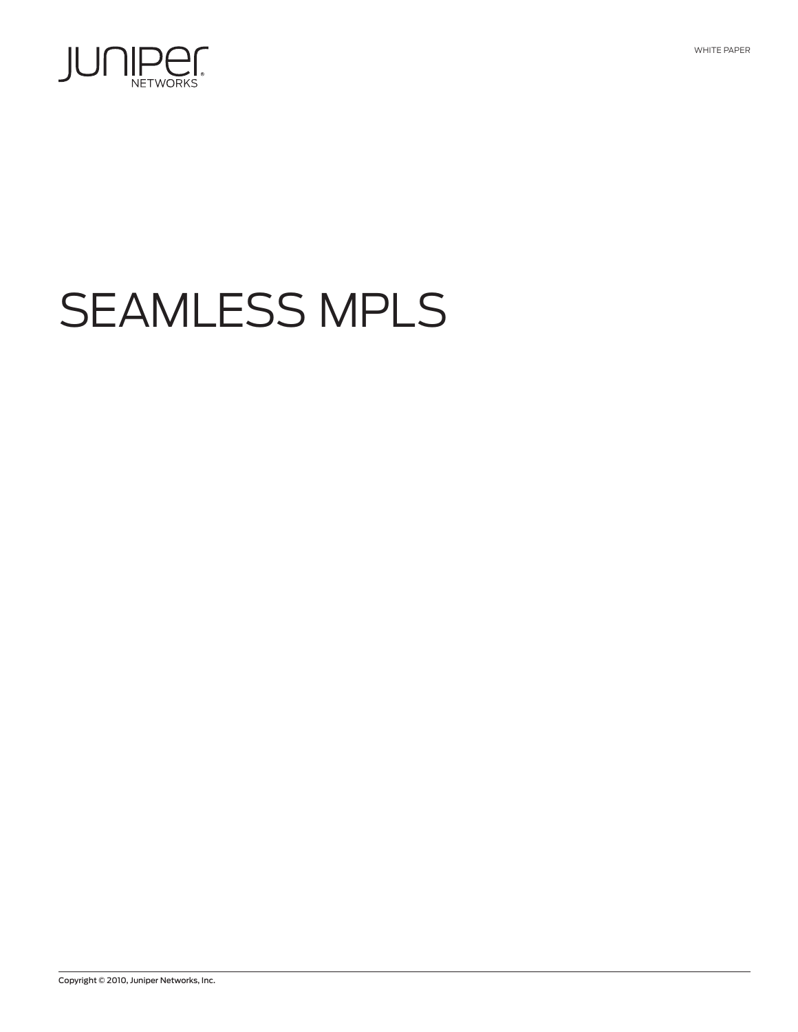

# SEAMLESS MPLS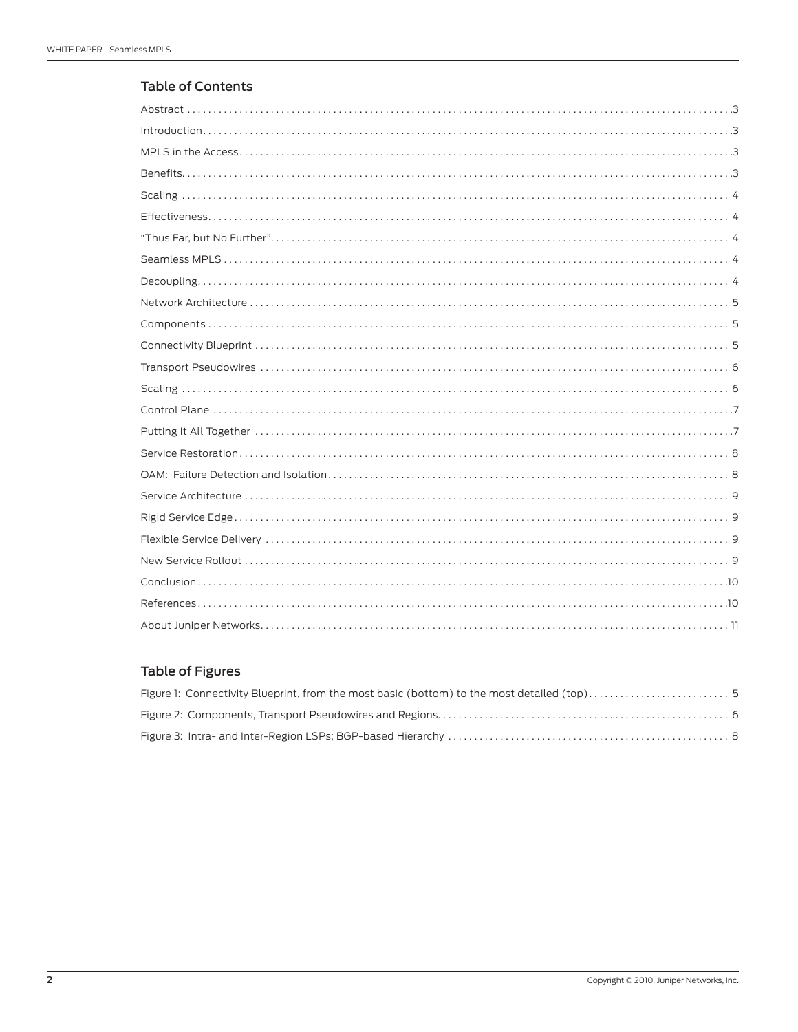## Table of Contents

# Table of Figures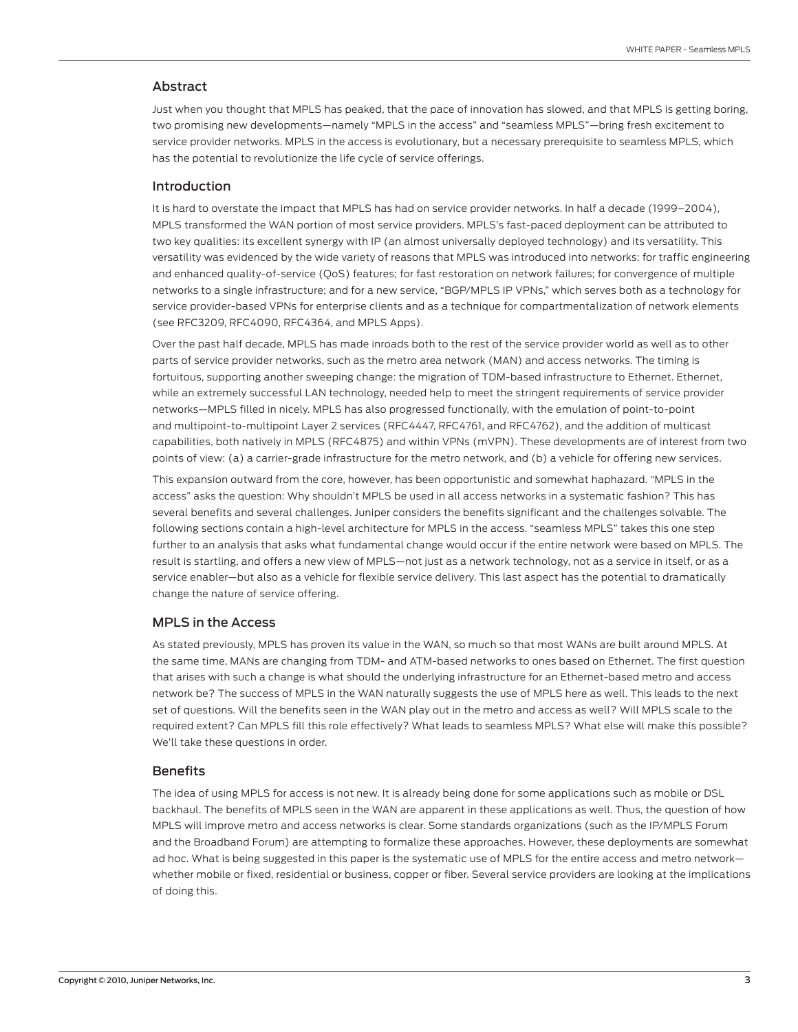### <span id="page-2-0"></span>Abstract

Just when you thought that MPLS has peaked, that the pace of innovation has slowed, and that MPLS is getting boring, two promising new developments—namely "MPLS in the access" and "seamless MPLS"—bring fresh excitement to service provider networks. MPLS in the access is evolutionary, but a necessary prerequisite to seamless MPLS, which has the potential to revolutionize the life cycle of service offerings.

#### Introduction

It is hard to overstate the impact that MPLS has had on service provider networks. In half a decade (1999–2004), MPLS transformed the WAN portion of most service providers. MPLS's fast-paced deployment can be attributed to two key qualities: its excellent synergy with IP (an almost universally deployed technology) and its versatility. This versatility was evidenced by the wide variety of reasons that MPLS was introduced into networks: for traffic engineering and enhanced quality-of-service (QoS) features; for fast restoration on network failures; for convergence of multiple networks to a single infrastructure; and for a new service, "BGP/MPLS IP VPNs," which serves both as a technology for service provider-based VPNs for enterprise clients and as a technique for compartmentalization of network elements (see RFC3209, RFC4090, RFC4364, and MPLS Apps).

Over the past half decade, MPLS has made inroads both to the rest of the service provider world as well as to other parts of service provider networks, such as the metro area network (MAN) and access networks. The timing is fortuitous, supporting another sweeping change: the migration of TDM-based infrastructure to Ethernet. Ethernet, while an extremely successful LAN technology, needed help to meet the stringent requirements of service provider networks—MPLS filled in nicely. MPLS has also progressed functionally, with the emulation of point-to-point and multipoint-to-multipoint Layer 2 services (RFC4447, RFC4761, and RFC4762), and the addition of multicast capabilities, both natively in MPLS (RFC4875) and within VPNs (mVPN). These developments are of interest from two points of view: (a) a carrier-grade infrastructure for the metro network, and (b) a vehicle for offering new services.

This expansion outward from the core, however, has been opportunistic and somewhat haphazard. "MPLS in the access" asks the question: Why shouldn't MPLS be used in all access networks in a systematic fashion? This has several benefits and several challenges. Juniper considers the benefits significant and the challenges solvable. The following sections contain a high-level architecture for MPLS in the access. "seamless MPLS" takes this one step further to an analysis that asks what fundamental change would occur if the entire network were based on MPLS. The result is startling, and offers a new view of MPLS—not just as a network technology, not as a service in itself, or as a service enabler—but also as a vehicle for flexible service delivery. This last aspect has the potential to dramatically change the nature of service offering.

#### MPLS in the Access

As stated previously, MPLS has proven its value in the WAN, so much so that most WANs are built around MPLS. At the same time, MANs are changing from TDM- and ATM-based networks to ones based on Ethernet. The first question that arises with such a change is what should the underlying infrastructure for an Ethernet-based metro and access network be? The success of MPLS in the WAN naturally suggests the use of MPLS here as well. This leads to the next set of questions. Will the benefits seen in the WAN play out in the metro and access as well? Will MPLS scale to the required extent? Can MPLS fill this role effectively? What leads to seamless MPLS? What else will make this possible? We'll take these questions in order.

#### Benefits

The idea of using MPLS for access is not new. It is already being done for some applications such as mobile or DSL backhaul. The benefits of MPLS seen in the WAN are apparent in these applications as well. Thus, the question of how MPLS will improve metro and access networks is clear. Some standards organizations (such as the IP/MPLS Forum and the Broadband Forum) are attempting to formalize these approaches. However, these deployments are somewhat ad hoc. What is being suggested in this paper is the systematic use of MPLS for the entire access and metro network whether mobile or fixed, residential or business, copper or fiber. Several service providers are looking at the implications of doing this.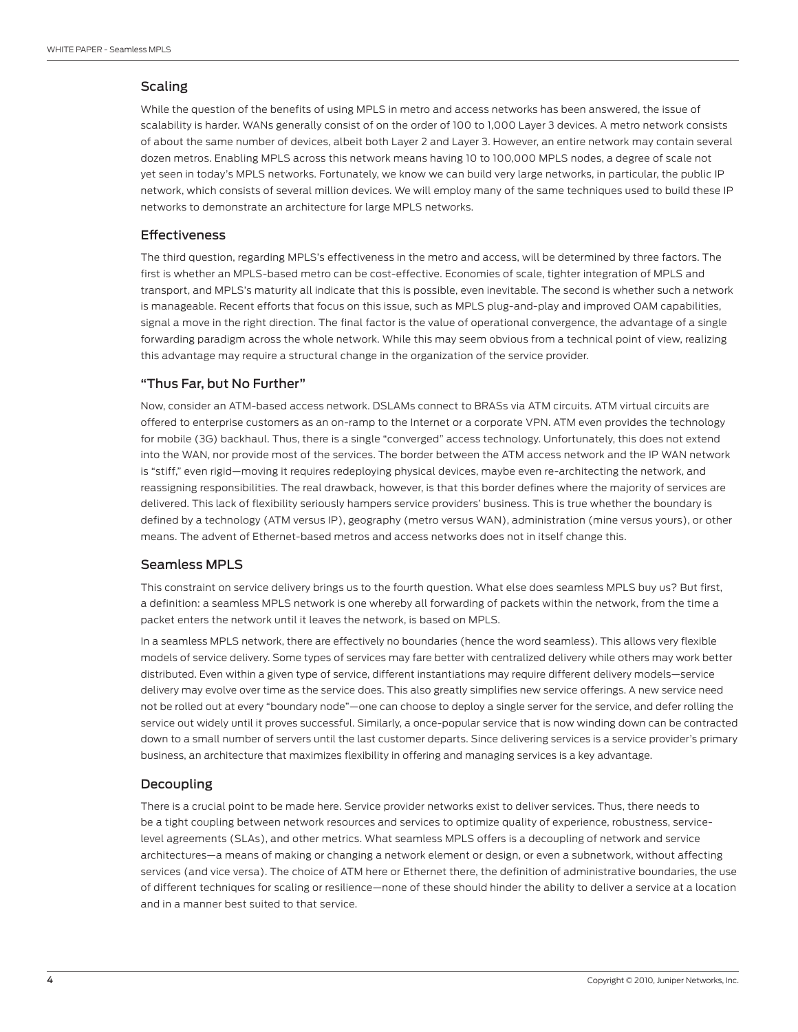## <span id="page-3-0"></span>Scaling

While the question of the benefits of using MPLS in metro and access networks has been answered, the issue of scalability is harder. WANs generally consist of on the order of 100 to 1,000 Layer 3 devices. A metro network consists of about the same number of devices, albeit both Layer 2 and Layer 3. However, an entire network may contain several dozen metros. Enabling MPLS across this network means having 10 to 100,000 MPLS nodes, a degree of scale not yet seen in today's MPLS networks. Fortunately, we know we can build very large networks, in particular, the public IP network, which consists of several million devices. We will employ many of the same techniques used to build these IP networks to demonstrate an architecture for large MPLS networks.

## Effectiveness

The third question, regarding MPLS's effectiveness in the metro and access, will be determined by three factors. The first is whether an MPLS-based metro can be cost-effective. Economies of scale, tighter integration of MPLS and transport, and MPLS's maturity all indicate that this is possible, even inevitable. The second is whether such a network is manageable. Recent efforts that focus on this issue, such as MPLS plug-and-play and improved OAM capabilities, signal a move in the right direction. The final factor is the value of operational convergence, the advantage of a single forwarding paradigm across the whole network. While this may seem obvious from a technical point of view, realizing this advantage may require a structural change in the organization of the service provider.

#### "Thus Far, but No Further"

Now, consider an ATM-based access network. DSLAMs connect to BRASs via ATM circuits. ATM virtual circuits are offered to enterprise customers as an on-ramp to the Internet or a corporate VPN. ATM even provides the technology for mobile (3G) backhaul. Thus, there is a single "converged" access technology. Unfortunately, this does not extend into the WAN, nor provide most of the services. The border between the ATM access network and the IP WAN network is "stiff," even rigid—moving it requires redeploying physical devices, maybe even re-architecting the network, and reassigning responsibilities. The real drawback, however, is that this border defines where the majority of services are delivered. This lack of flexibility seriously hampers service providers' business. This is true whether the boundary is defined by a technology (ATM versus IP), geography (metro versus WAN), administration (mine versus yours), or other means. The advent of Ethernet-based metros and access networks does not in itself change this.

#### Seamless MPLS

This constraint on service delivery brings us to the fourth question. What else does seamless MPLS buy us? But first, a definition: a seamless MPLS network is one whereby all forwarding of packets within the network, from the time a packet enters the network until it leaves the network, is based on MPLS.

In a seamless MPLS network, there are effectively no boundaries (hence the word seamless). This allows very flexible models of service delivery. Some types of services may fare better with centralized delivery while others may work better distributed. Even within a given type of service, different instantiations may require different delivery models—service delivery may evolve over time as the service does. This also greatly simplifies new service offerings. A new service need not be rolled out at every "boundary node"—one can choose to deploy a single server for the service, and defer rolling the service out widely until it proves successful. Similarly, a once-popular service that is now winding down can be contracted down to a small number of servers until the last customer departs. Since delivering services is a service provider's primary business, an architecture that maximizes flexibility in offering and managing services is a key advantage.

#### Decoupling

There is a crucial point to be made here. Service provider networks exist to deliver services. Thus, there needs to be a tight coupling between network resources and services to optimize quality of experience, robustness, servicelevel agreements (SLAs), and other metrics. What seamless MPLS offers is a decoupling of network and service architectures—a means of making or changing a network element or design, or even a subnetwork, without affecting services (and vice versa). The choice of ATM here or Ethernet there, the definition of administrative boundaries, the use of different techniques for scaling or resilience—none of these should hinder the ability to deliver a service at a location and in a manner best suited to that service.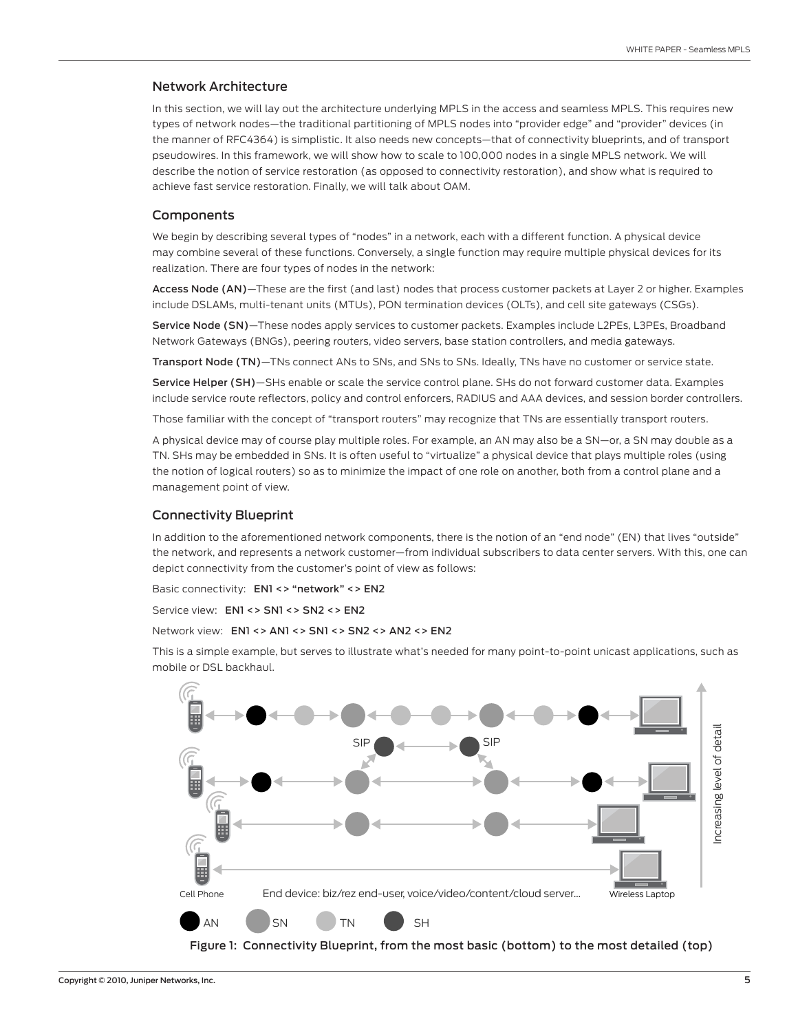#### <span id="page-4-0"></span>Network Architecture

In this section, we will lay out the architecture underlying MPLS in the access and seamless MPLS. This requires new types of network nodes—the traditional partitioning of MPLS nodes into "provider edge" and "provider" devices (in the manner of RFC4364) is simplistic. It also needs new concepts—that of connectivity blueprints, and of transport pseudowires. In this framework, we will show how to scale to 100,000 nodes in a single MPLS network. We will describe the notion of service restoration (as opposed to connectivity restoration), and show what is required to achieve fast service restoration. Finally, we will talk about OAM.

#### **Components**

We begin by describing several types of "nodes" in a network, each with a different function. A physical device may combine several of these functions. Conversely, a single function may require multiple physical devices for its realization. There are four types of nodes in the network:

Access Node (AN)—These are the first (and last) nodes that process customer packets at Layer 2 or higher. Examples include DSLAMs, multi-tenant units (MTUs), PON termination devices (OLTs), and cell site gateways (CSGs).

Service Node (SN)—These nodes apply services to customer packets. Examples include L2PEs, L3PEs, Broadband Network Gateways (BNGs), peering routers, video servers, base station controllers, and media gateways.

Transport Node (TN)—TNs connect ANs to SNs, and SNs to SNs. Ideally, TNs have no customer or service state.

Service Helper (SH)—SHs enable or scale the service control plane. SHs do not forward customer data. Examples include service route reflectors, policy and control enforcers, RADIUS and AAA devices, and session border controllers.

Those familiar with the concept of "transport routers" may recognize that TNs are essentially transport routers.

A physical device may of course play multiple roles. For example, an AN may also be a SN—or, a SN may double as a TN. SHs may be embedded in SNs. It is often useful to "virtualize" a physical device that plays multiple roles (using the notion of logical routers) so as to minimize the impact of one role on another, both from a control plane and a management point of view.

#### Connectivity Blueprint

In addition to the aforementioned network components, there is the notion of an "end node" (EN) that lives "outside" the network, and represents a network customer—from individual subscribers to data center servers. With this, one can depict connectivity from the customer's point of view as follows:

Basic connectivity: EN1 <> "network" <> EN2

Service view: EN1 <> SN1 <> SN2 <> EN2

#### Network view: EN1 <> AN1 <> SN1 <> SN2 <> AN2 <> EN2

This is a simple example, but serves to illustrate what's needed for many point-to-point unicast applications, such as mobile or DSL backhaul.



Figure 1: Connectivity Blueprint, from the most basic (bottom) to the most detailed (top)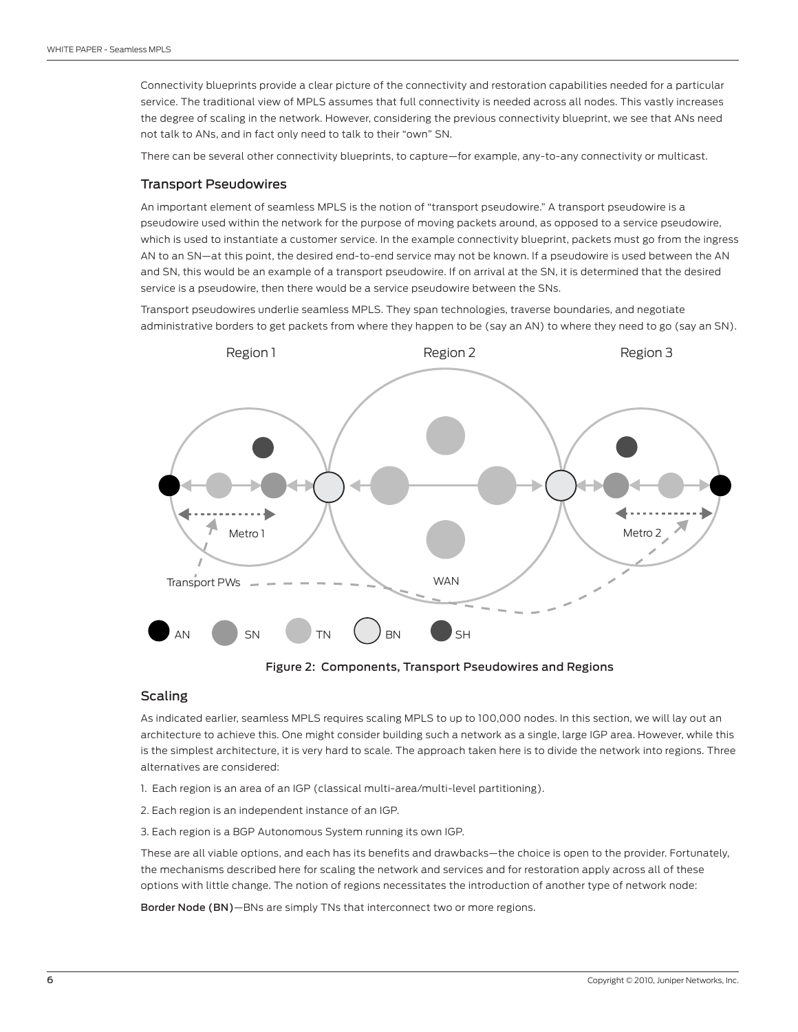<span id="page-5-0"></span>Connectivity blueprints provide a clear picture of the connectivity and restoration capabilities needed for a particular service. The traditional view of MPLS assumes that full connectivity is needed across all nodes. This vastly increases the degree of scaling in the network. However, considering the previous connectivity blueprint, we see that ANs need not talk to ANs, and in fact only need to talk to their "own" SN.

There can be several other connectivity blueprints, to capture—for example, any-to-any connectivity or multicast.

#### Transport Pseudowires

An important element of seamless MPLS is the notion of "transport pseudowire." A transport pseudowire is a pseudowire used within the network for the purpose of moving packets around, as opposed to a service pseudowire, which is used to instantiate a customer service. In the example connectivity blueprint, packets must go from the ingress AN to an SN—at this point, the desired end-to-end service may not be known. If a pseudowire is used between the AN and SN, this would be an example of a transport pseudowire. If on arrival at the SN, it is determined that the desired service is a pseudowire, then there would be a service pseudowire between the SNs.

Transport pseudowires underlie seamless MPLS. They span technologies, traverse boundaries, and negotiate administrative borders to get packets from where they happen to be (say an AN) to where they need to go (say an SN).



Figure 2: Components, Transport Pseudowires and Regions

#### **Scaling**

As indicated earlier, seamless MPLS requires scaling MPLS to up to 100,000 nodes. In this section, we will lay out an architecture to achieve this. One might consider building such a network as a single, large IGP area. However, while this is the simplest architecture, it is very hard to scale. The approach taken here is to divide the network into regions. Three alternatives are considered:

- 1. Each region is an area of an IGP (classical multi-area/multi-level partitioning).
- 2. Each region is an independent instance of an IGP.
- 3. Each region is a BGP Autonomous System running its own IGP.

These are all viable options, and each has its benefits and drawbacks—the choice is open to the provider. Fortunately, the mechanisms described here for scaling the network and services and for restoration apply across all of these options with little change. The notion of regions necessitates the introduction of another type of network node:

Border Node (BN)—BNs are simply TNs that interconnect two or more regions.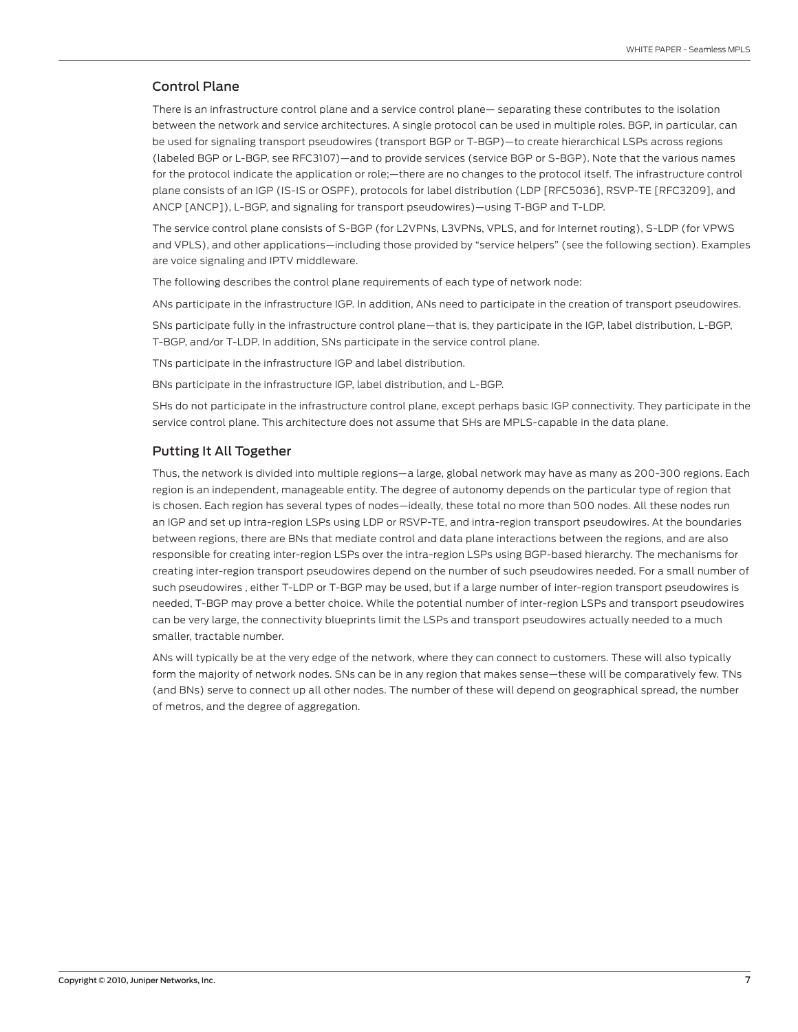## <span id="page-6-0"></span>Control Plane

There is an infrastructure control plane and a service control plane— separating these contributes to the isolation between the network and service architectures. A single protocol can be used in multiple roles. BGP, in particular, can be used for signaling transport pseudowires (transport BGP or T-BGP)—to create hierarchical LSPs across regions (labeled BGP or L-BGP, see RFC3107)—and to provide services (service BGP or S-BGP). Note that the various names for the protocol indicate the application or role;—there are no changes to the protocol itself. The infrastructure control plane consists of an IGP (IS-IS or OSPF), protocols for label distribution (LDP [RFC5036], RSVP-TE [RFC3209], and ANCP [ANCP]), L-BGP, and signaling for transport pseudowires)—using T-BGP and T-LDP.

The service control plane consists of S-BGP (for L2VPNs, L3VPNs, VPLS, and for Internet routing), S-LDP (for VPWS and VPLS), and other applications—including those provided by "service helpers" (see the following section). Examples are voice signaling and IPTV middleware.

The following describes the control plane requirements of each type of network node:

ANs participate in the infrastructure IGP. In addition, ANs need to participate in the creation of transport pseudowires.

SNs participate fully in the infrastructure control plane—that is, they participate in the IGP, label distribution, L-BGP, T-BGP, and/or T-LDP. In addition, SNs participate in the service control plane.

TNs participate in the infrastructure IGP and label distribution.

BNs participate in the infrastructure IGP, label distribution, and L-BGP.

SHs do not participate in the infrastructure control plane, except perhaps basic IGP connectivity. They participate in the service control plane. This architecture does not assume that SHs are MPLS-capable in the data plane.

#### Putting It All Together

Thus, the network is divided into multiple regions—a large, global network may have as many as 200-300 regions. Each region is an independent, manageable entity. The degree of autonomy depends on the particular type of region that is chosen. Each region has several types of nodes—ideally, these total no more than 500 nodes. All these nodes run an IGP and set up intra-region LSPs using LDP or RSVP-TE, and intra-region transport pseudowires. At the boundaries between regions, there are BNs that mediate control and data plane interactions between the regions, and are also responsible for creating inter-region LSPs over the intra-region LSPs using BGP-based hierarchy. The mechanisms for creating inter-region transport pseudowires depend on the number of such pseudowires needed. For a small number of such pseudowires , either T-LDP or T-BGP may be used, but if a large number of inter-region transport pseudowires is needed, T-BGP may prove a better choice. While the potential number of inter-region LSPs and transport pseudowires can be very large, the connectivity blueprints limit the LSPs and transport pseudowires actually needed to a much smaller, tractable number.

ANs will typically be at the very edge of the network, where they can connect to customers. These will also typically form the majority of network nodes. SNs can be in any region that makes sense—these will be comparatively few. TNs (and BNs) serve to connect up all other nodes. The number of these will depend on geographical spread, the number of metros, and the degree of aggregation.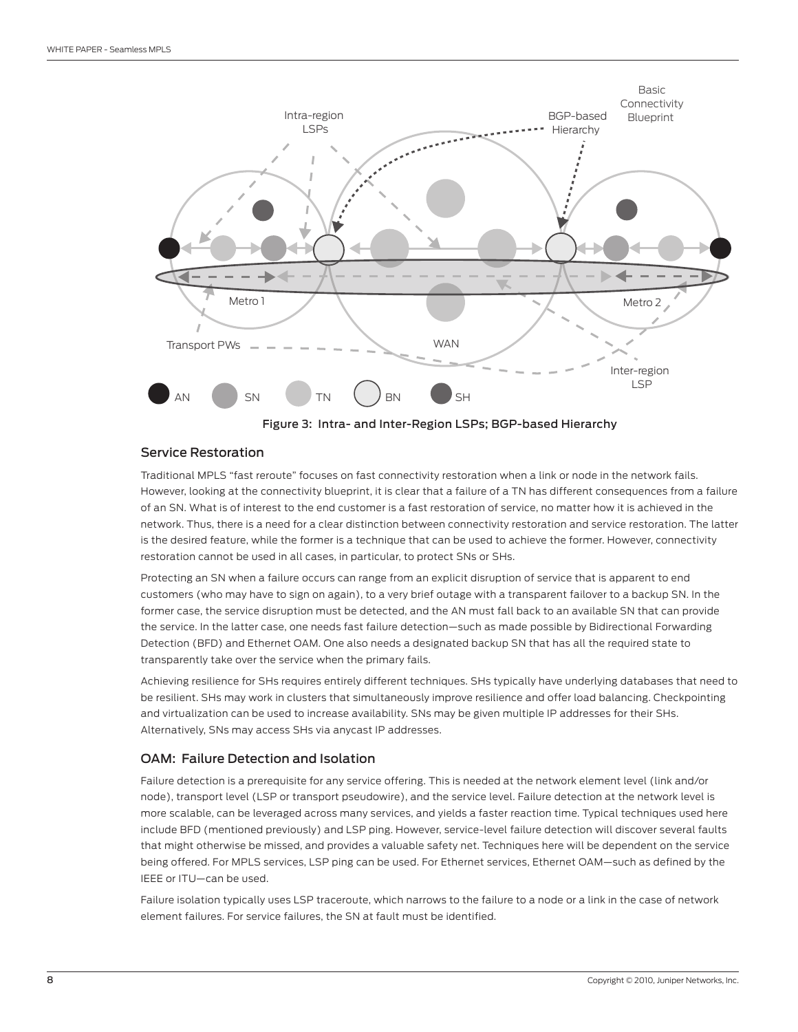<span id="page-7-0"></span>

#### Service Restoration

Traditional MPLS "fast reroute" focuses on fast connectivity restoration when a link or node in the network fails. However, looking at the connectivity blueprint, it is clear that a failure of a TN has different consequences from a failure of an SN. What is of interest to the end customer is a fast restoration of service, no matter how it is achieved in the network. Thus, there is a need for a clear distinction between connectivity restoration and service restoration. The latter is the desired feature, while the former is a technique that can be used to achieve the former. However, connectivity restoration cannot be used in all cases, in particular, to protect SNs or SHs.

Protecting an SN when a failure occurs can range from an explicit disruption of service that is apparent to end customers (who may have to sign on again), to a very brief outage with a transparent failover to a backup SN. In the former case, the service disruption must be detected, and the AN must fall back to an available SN that can provide the service. In the latter case, one needs fast failure detection—such as made possible by Bidirectional Forwarding Detection (BFD) and Ethernet OAM. One also needs a designated backup SN that has all the required state to transparently take over the service when the primary fails.

Achieving resilience for SHs requires entirely different techniques. SHs typically have underlying databases that need to be resilient. SHs may work in clusters that simultaneously improve resilience and offer load balancing. Checkpointing and virtualization can be used to increase availability. SNs may be given multiple IP addresses for their SHs. Alternatively, SNs may access SHs via anycast IP addresses.

#### OAM: Failure Detection and Isolation

Failure detection is a prerequisite for any service offering. This is needed at the network element level (link and/or node), transport level (LSP or transport pseudowire), and the service level. Failure detection at the network level is more scalable, can be leveraged across many services, and yields a faster reaction time. Typical techniques used here include BFD (mentioned previously) and LSP ping. However, service-level failure detection will discover several faults that might otherwise be missed, and provides a valuable safety net. Techniques here will be dependent on the service being offered. For MPLS services, LSP ping can be used. For Ethernet services, Ethernet OAM—such as defined by the IEEE or ITU—can be used.

Failure isolation typically uses LSP traceroute, which narrows to the failure to a node or a link in the case of network element failures. For service failures, the SN at fault must be identified.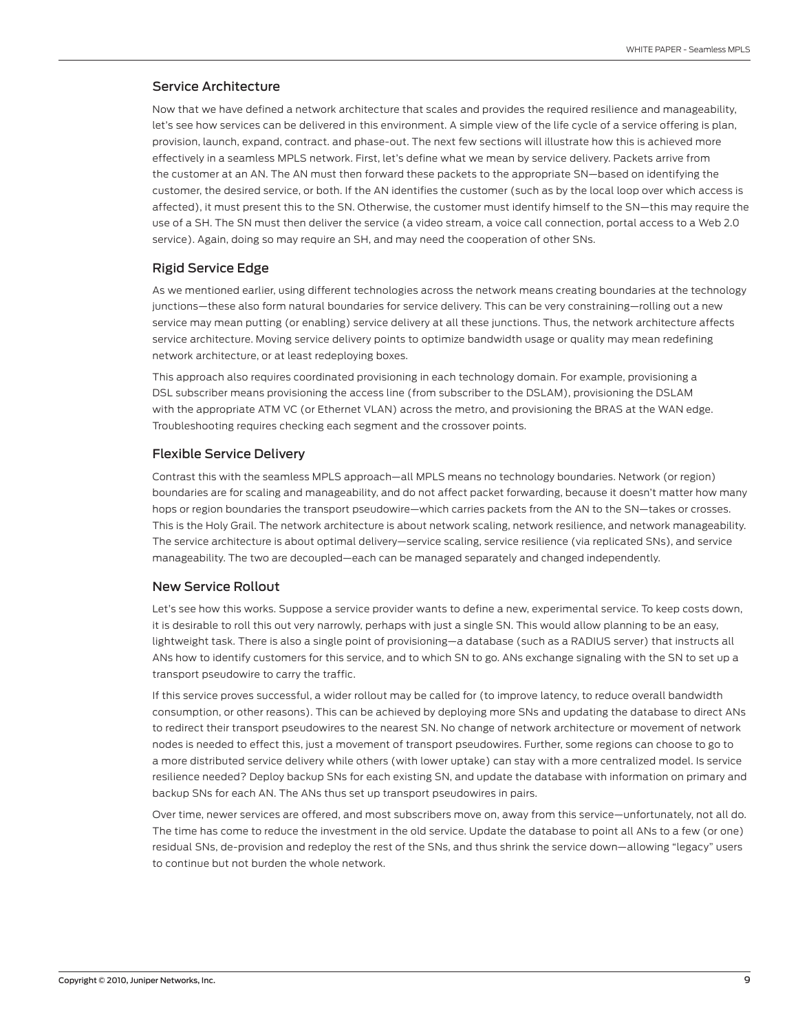#### <span id="page-8-0"></span>Service Architecture

Now that we have defined a network architecture that scales and provides the required resilience and manageability, let's see how services can be delivered in this environment. A simple view of the life cycle of a service offering is plan, provision, launch, expand, contract. and phase-out. The next few sections will illustrate how this is achieved more effectively in a seamless MPLS network. First, let's define what we mean by service delivery. Packets arrive from the customer at an AN. The AN must then forward these packets to the appropriate SN—based on identifying the customer, the desired service, or both. If the AN identifies the customer (such as by the local loop over which access is affected), it must present this to the SN. Otherwise, the customer must identify himself to the SN—this may require the use of a SH. The SN must then deliver the service (a video stream, a voice call connection, portal access to a Web 2.0 service). Again, doing so may require an SH, and may need the cooperation of other SNs.

#### Rigid Service Edge

As we mentioned earlier, using different technologies across the network means creating boundaries at the technology junctions—these also form natural boundaries for service delivery. This can be very constraining—rolling out a new service may mean putting (or enabling) service delivery at all these junctions. Thus, the network architecture affects service architecture. Moving service delivery points to optimize bandwidth usage or quality may mean redefining network architecture, or at least redeploying boxes.

This approach also requires coordinated provisioning in each technology domain. For example, provisioning a DSL subscriber means provisioning the access line (from subscriber to the DSLAM), provisioning the DSLAM with the appropriate ATM VC (or Ethernet VLAN) across the metro, and provisioning the BRAS at the WAN edge. Troubleshooting requires checking each segment and the crossover points.

#### Flexible Service Delivery

Contrast this with the seamless MPLS approach—all MPLS means no technology boundaries. Network (or region) boundaries are for scaling and manageability, and do not affect packet forwarding, because it doesn't matter how many hops or region boundaries the transport pseudowire—which carries packets from the AN to the SN—takes or crosses. This is the Holy Grail. The network architecture is about network scaling, network resilience, and network manageability. The service architecture is about optimal delivery—service scaling, service resilience (via replicated SNs), and service manageability. The two are decoupled—each can be managed separately and changed independently.

#### New Service Rollout

Let's see how this works. Suppose a service provider wants to define a new, experimental service. To keep costs down, it is desirable to roll this out very narrowly, perhaps with just a single SN. This would allow planning to be an easy, lightweight task. There is also a single point of provisioning—a database (such as a RADIUS server) that instructs all ANs how to identify customers for this service, and to which SN to go. ANs exchange signaling with the SN to set up a transport pseudowire to carry the traffic.

If this service proves successful, a wider rollout may be called for (to improve latency, to reduce overall bandwidth consumption, or other reasons). This can be achieved by deploying more SNs and updating the database to direct ANs to redirect their transport pseudowires to the nearest SN. No change of network architecture or movement of network nodes is needed to effect this, just a movement of transport pseudowires. Further, some regions can choose to go to a more distributed service delivery while others (with lower uptake) can stay with a more centralized model. Is service resilience needed? Deploy backup SNs for each existing SN, and update the database with information on primary and backup SNs for each AN. The ANs thus set up transport pseudowires in pairs.

Over time, newer services are offered, and most subscribers move on, away from this service—unfortunately, not all do. The time has come to reduce the investment in the old service. Update the database to point all ANs to a few (or one) residual SNs, de-provision and redeploy the rest of the SNs, and thus shrink the service down—allowing "legacy" users to continue but not burden the whole network.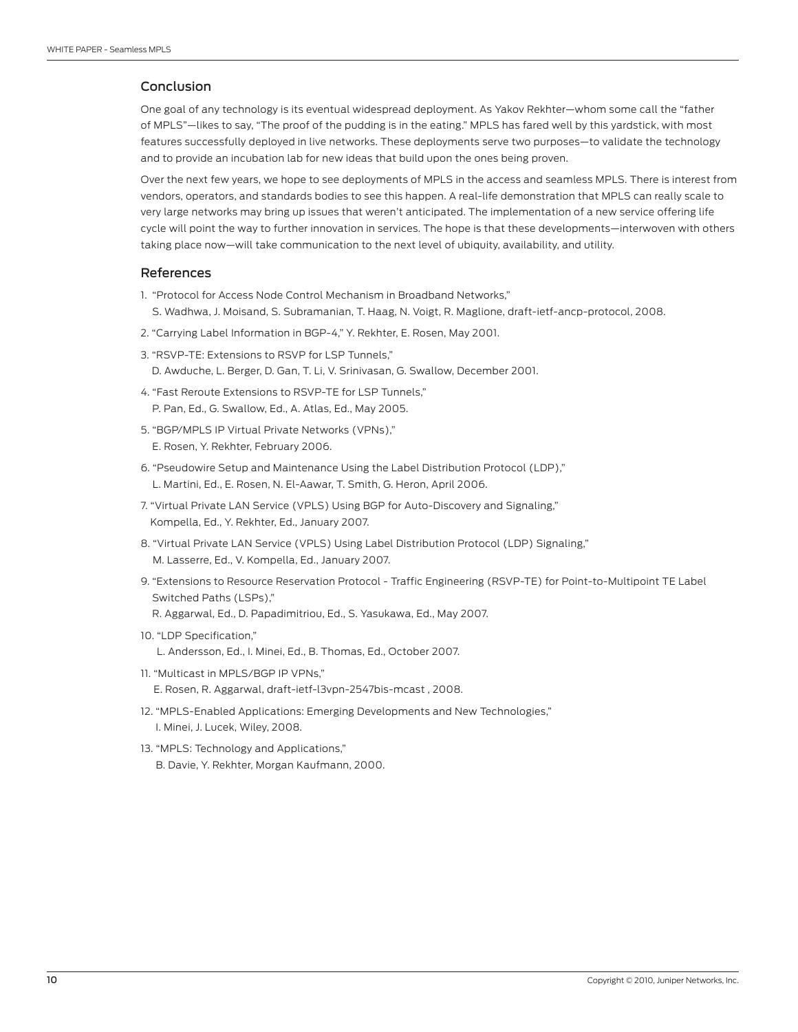## <span id="page-9-0"></span>Conclusion

One goal of any technology is its eventual widespread deployment. As Yakov Rekhter—whom some call the "father of MPLS"—likes to say, "The proof of the pudding is in the eating." MPLS has fared well by this yardstick, with most features successfully deployed in live networks. These deployments serve two purposes—to validate the technology and to provide an incubation lab for new ideas that build upon the ones being proven.

Over the next few years, we hope to see deployments of MPLS in the access and seamless MPLS. There is interest from vendors, operators, and standards bodies to see this happen. A real-life demonstration that MPLS can really scale to very large networks may bring up issues that weren't anticipated. The implementation of a new service offering life cycle will point the way to further innovation in services. The hope is that these developments—interwoven with others taking place now—will take communication to the next level of ubiquity, availability, and utility.

#### References

- 1. "Protocol for Access Node Control Mechanism in Broadband Networks,"
	- S. Wadhwa, J. Moisand, S. Subramanian, T. Haag, N. Voigt, R. Maglione, draft-ietf-ancp-protocol, 2008.
- 2. "Carrying Label Information in BGP-4," Y. Rekhter, E. Rosen, May 2001.
- 3. "RSVP-TE: Extensions to RSVP for LSP Tunnels," D. Awduche, L. Berger, D. Gan, T. Li, V. Srinivasan, G. Swallow, December 2001.
- 4. "Fast Reroute Extensions to RSVP-TE for LSP Tunnels," P. Pan, Ed., G. Swallow, Ed., A. Atlas, Ed., May 2005.
- 5. "BGP/MPLS IP Virtual Private Networks (VPNs)," E. Rosen, Y. Rekhter, February 2006.
- 6. "Pseudowire Setup and Maintenance Using the Label Distribution Protocol (LDP)," L. Martini, Ed., E. Rosen, N. El-Aawar, T. Smith, G. Heron, April 2006.
- 7. "Virtual Private LAN Service (VPLS) Using BGP for Auto-Discovery and Signaling," Kompella, Ed., Y. Rekhter, Ed., January 2007.
- 8. "Virtual Private LAN Service (VPLS) Using Label Distribution Protocol (LDP) Signaling," M. Lasserre, Ed., V. Kompella, Ed., January 2007.
- 9. "Extensions to Resource Reservation Protocol Traffic Engineering (RSVP-TE) for Point-to-Multipoint TE Label Switched Paths (LSPs),"
	- R. Aggarwal, Ed., D. Papadimitriou, Ed., S. Yasukawa, Ed., May 2007.
- 10. "LDP Specification,"

L. Andersson, Ed., I. Minei, Ed., B. Thomas, Ed., October 2007.

- 11. "Multicast in MPLS/BGP IP VPNs,"
	- E. Rosen, R. Aggarwal, draft-ietf-l3vpn-2547bis-mcast , 2008.
- 12. "MPLS-Enabled Applications: Emerging Developments and New Technologies," I. Minei, J. Lucek, Wiley, 2008.
- 13. "MPLS: Technology and Applications," B. Davie, Y. Rekhter, Morgan Kaufmann, 2000.